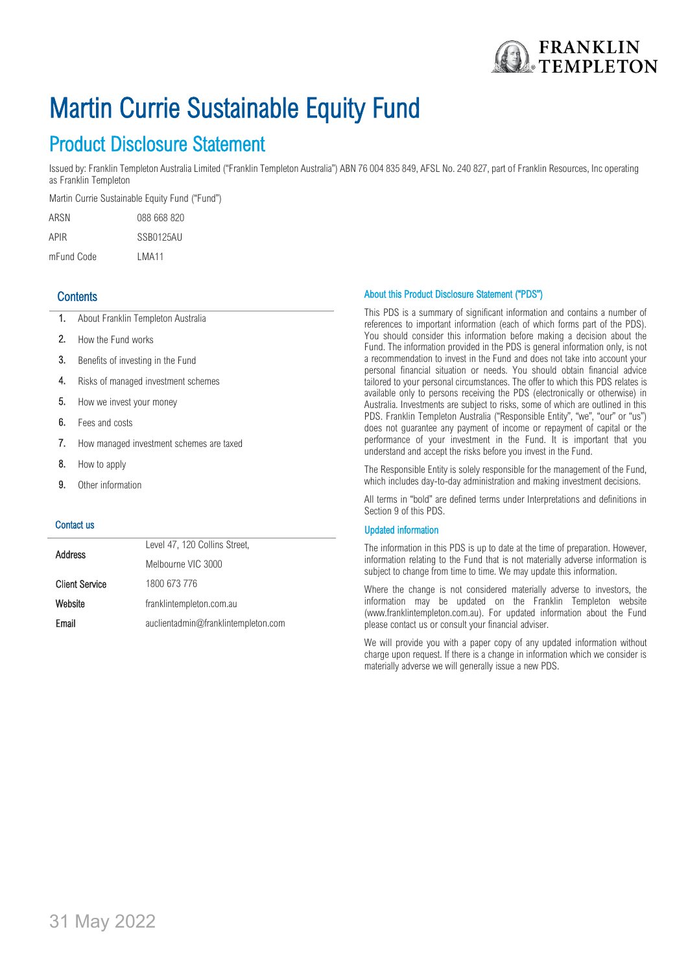

# Martin Currie Sustainable Equity Fund

## Product Disclosure Statement

Issued by: Franklin Templeton Australia Limited ("Franklin Templeton Australia") ABN 76 004 835 849, AFSL No. 240 827, part of Franklin Resources, Inc operating as Franklin Templeton

Martin Currie Sustainable Equity Fund ("Fund")

| ARSN       | 088 668 820 |
|------------|-------------|
| APIR       | SSB0125AU   |
| mFund Code | I MA11      |

### **Contents**

- 1. About Franklin Templeton Australia
- 2. How the Fund works
- 3. Benefits of investing in the Fund
- 4. Risks of managed investment schemes
- 5. How we invest your money
- 6. Fees and costs
- 7. How managed investment schemes are taxed
- 8. How to apply
- 9. Other information

#### Contact us

| <b>Address</b>        | Level 47, 120 Collins Street,       |  |
|-----------------------|-------------------------------------|--|
|                       | Melbourne VIC 3000                  |  |
| <b>Client Service</b> | 1800 673 776                        |  |
| Website               | franklintempleton.com.au            |  |
| Email                 | auclientadmin@franklintempleton.com |  |

#### About this Product Disclosure Statement ("PDS")

This PDS is a summary of significant information and contains a number of references to important information (each of which forms part of the PDS). You should consider this information before making a decision about the Fund. The information provided in the PDS is general information only, is not a recommendation to invest in the Fund and does not take into account your personal financial situation or needs. You should obtain financial advice tailored to your personal circumstances. The offer to which this PDS relates is available only to persons receiving the PDS (electronically or otherwise) in Australia. Investments are subject to risks, some of which are outlined in this PDS. Franklin Templeton Australia ("Responsible Entity", "we", "our" or "us") does not guarantee any payment of income or repayment of capital or the performance of your investment in the Fund. It is important that you understand and accept the risks before you invest in the Fund.

The Responsible Entity is solely responsible for the management of the Fund, which includes day-to-day administration and making investment decisions.

All terms in "bold" are defined terms under Interpretations and definitions in Section 9 of this PDS.

#### Updated information

The information in this PDS is up to date at the time of preparation. However, information relating to the Fund that is not materially adverse information is subject to change from time to time. We may update this information.

Where the change is not considered materially adverse to investors, the information may be updated on the Franklin Templeton website (www.franklintempleton.com.au). For updated information about the Fund please contact us or consult your financial adviser.

We will provide you with a paper copy of any updated information without charge upon request. If there is a change in information which we consider is materially adverse we will generally issue a new PDS.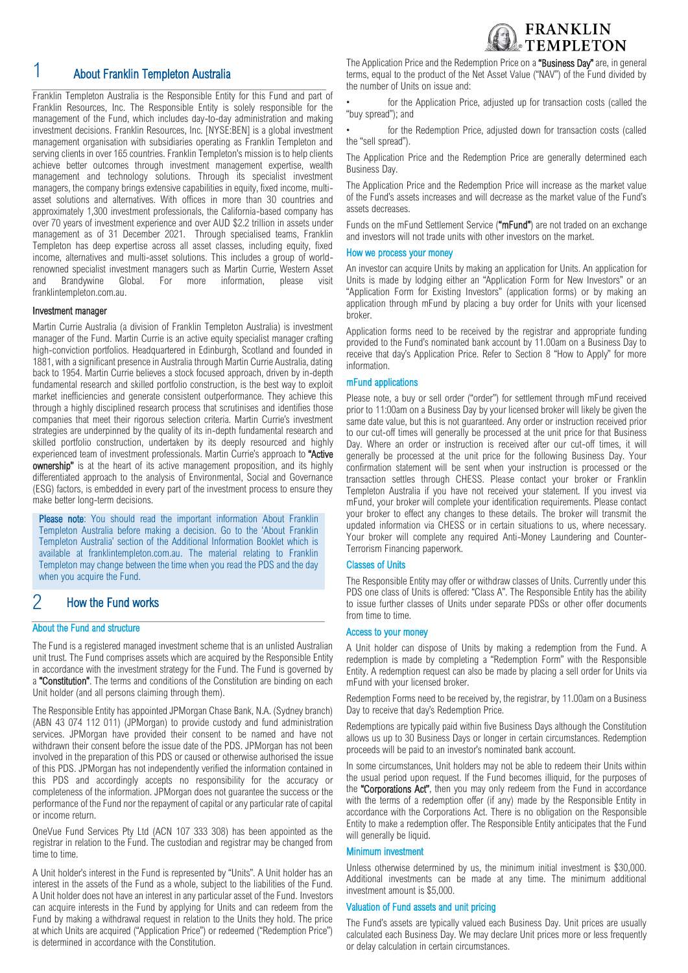## 1 About Franklin Templeton Australia

Franklin Templeton Australia is the Responsible Entity for this Fund and part of Franklin Resources, Inc. The Responsible Entity is solely responsible for the management of the Fund, which includes day-to-day administration and making investment decisions. Franklin Resources, Inc. [NYSE:BEN] is a global investment management organisation with subsidiaries operating as Franklin Templeton and serving clients in over 165 countries. Franklin Templeton's mission is to help clients achieve better outcomes through investment management expertise, wealth management and technology solutions. Through its specialist investment managers, the company brings extensive capabilities in equity, fixed income, multiasset solutions and alternatives. With offices in more than 30 countries and approximately 1,300 investment professionals, the California-based company has over 70 years of investment experience and over AUD \$2.2 trillion in assets under management as of 31 December 2021. Through specialised teams, Franklin Templeton has deep expertise across all asset classes, including equity, fixed income, alternatives and multi-asset solutions. This includes a group of worldrenowned specialist investment managers such as Martin Currie, Western Asset and Brandywine Global. For more information, please visit franklintempleton.com.au.

#### Investment manager

Martin Currie Australia (a division of Franklin Templeton Australia) is investment manager of the Fund. Martin Currie is an active equity specialist manager crafting high-conviction portfolios. Headquartered in Edinburgh, Scotland and founded in 1881, with a significant presence in Australia through Martin Currie Australia, dating back to 1954. Martin Currie believes a stock focused approach, driven by in-depth fundamental research and skilled portfolio construction, is the best way to exploit market inefficiencies and generate consistent outperformance. They achieve this through a highly disciplined research process that scrutinises and identifies those companies that meet their rigorous selection criteria. Martin Currie's investment strategies are underpinned by the quality of its in-depth fundamental research and skilled portfolio construction, undertaken by its deeply resourced and highly experienced team of investment professionals. Martin Currie's approach to "Active ownership" is at the heart of its active management proposition, and its highly differentiated approach to the analysis of Environmental, Social and Governance (ESG) factors, is embedded in every part of the investment process to ensure they make better long-term decisions.

Please note: You should read the important information About Franklin Templeton Australia before making a decision. Go to the 'About Franklin Templeton Australia' section of the Additional Information Booklet which is available at [franklintempleton.com.au.](http://www.leggmason.com.au/en/index.aspx) The material relating to Franklin Templeton may change between the time when you read the PDS and the day when you acquire the Fund.

## 2 How the Fund works

#### About the Fund and structure

The Fund is a registered managed investment scheme that is an unlisted Australian unit trust. The Fund comprises assets which are acquired by the Responsible Entity in accordance with the investment strategy for the Fund. The Fund is governed by a "Constitution". The terms and conditions of the Constitution are binding on each Unit holder (and all persons claiming through them).

The Responsible Entity has appointed JPMorgan Chase Bank, N.A. (Sydney branch) (ABN 43 074 112 011) (JPMorgan) to provide custody and fund administration services. JPMorgan have provided their consent to be named and have not withdrawn their consent before the issue date of the PDS. JPMorgan has not been involved in the preparation of this PDS or caused or otherwise authorised the issue of this PDS. JPMorgan has not independently verified the information contained in this PDS and accordingly accepts no responsibility for the accuracy or completeness of the information. JPMorgan does not guarantee the success or the performance of the Fund nor the repayment of capital or any particular rate of capital or income return.

OneVue Fund Services Pty Ltd (ACN 107 333 308) has been appointed as the registrar in relation to the Fund. The custodian and registrar may be changed from time to time.

A Unit holder's interest in the Fund is represented by "Units". A Unit holder has an interest in the assets of the Fund as a whole, subject to the liabilities of the Fund. A Unit holder does not have an interest in any particular asset of the Fund. Investors can acquire interests in the Fund by applying for Units and can redeem from the Fund by making a withdrawal request in relation to the Units they hold. The price at which Units are acquired ("Application Price") or redeemed ("Redemption Price") is determined in accordance with the Constitution.

The Application Price and the Redemption Price on a "Business Day" are, in general terms, equal to the product of the Net Asset Value ("NAV") of the Fund divided by the number of Units on issue and:

**FRANKLIN TEMPLETON** 

for the Application Price, adjusted up for transaction costs (called the "buy spread"); and

for the Redemption Price, adjusted down for transaction costs (called the "sell spread").

The Application Price and the Redemption Price are generally determined each Business Day.

The Application Price and the Redemption Price will increase as the market value of the Fund's assets increases and will decrease as the market value of the Fund's assets decreases.

Funds on the mFund Settlement Service ("mFund") are not traded on an exchange and investors will not trade units with other investors on the market.

#### How we process your money

An investor can acquire Units by making an application for Units. An application for Units is made by lodging either an "Application Form for New Investors" or an "Application Form for Existing Investors" (application forms) or by making an application through mFund by placing a buy order for Units with your licensed broker.

Application forms need to be received by the registrar and appropriate funding provided to the Fund's nominated bank account by 11.00am on a Business Day to receive that day's Application Price. Refer to Section 8 "How to Apply" for more information.

#### mFund applications

Please note, a buy or sell order ("order") for settlement through mFund received prior to 11:00am on a Business Day by your licensed broker will likely be given the same date value, but this is not guaranteed. Any order or instruction received prior to our cut-off times will generally be processed at the unit price for that Business Day. Where an order or instruction is received after our cut-off times, it will generally be processed at the unit price for the following Business Day. Your confirmation statement will be sent when your instruction is processed or the transaction settles through CHESS. Please contact your broker or Franklin Templeton Australia if you have not received your statement. If you invest via mFund, your broker will complete your identification requirements. Please contact your broker to effect any changes to these details. The broker will transmit the updated information via CHESS or in certain situations to us, where necessary. Your broker will complete any required Anti-Money Laundering and Counter-Terrorism Financing paperwork.

#### Classes of Units

The Responsible Entity may offer or withdraw classes of Units. Currently under this PDS one class of Units is offered: "Class A". The Responsible Entity has the ability to issue further classes of Units under separate PDSs or other offer documents from time to time.

#### Access to your money

A Unit holder can dispose of Units by making a redemption from the Fund. A redemption is made by completing a "Redemption Form" with the Responsible Entity. A redemption request can also be made by placing a sell order for Units via mFund with your licensed broker.

Redemption Forms need to be received by, the registrar, by 11.00am on a Business Day to receive that day's Redemption Price.

Redemptions are typically paid within five Business Days although the Constitution allows us up to 30 Business Days or longer in certain circumstances. Redemption proceeds will be paid to an investor's nominated bank account.

In some circumstances, Unit holders may not be able to redeem their Units within the usual period upon request. If the Fund becomes illiquid, for the purposes of the "Corporations Act", then you may only redeem from the Fund in accordance with the terms of a redemption offer (if any) made by the Responsible Entity in accordance with the Corporations Act. There is no obligation on the Responsible Entity to make a redemption offer. The Responsible Entity anticipates that the Fund will generally be liquid.

#### Minimum investment

Unless otherwise determined by us, the minimum initial investment is \$30,000. Additional investments can be made at any time. The minimum additional investment amount is \$5,000.

#### Valuation of Fund assets and unit pricing

The Fund's assets are typically valued each Business Day. Unit prices are usually calculated each Business Day. We may declare Unit prices more or less frequently or delay calculation in certain circumstances.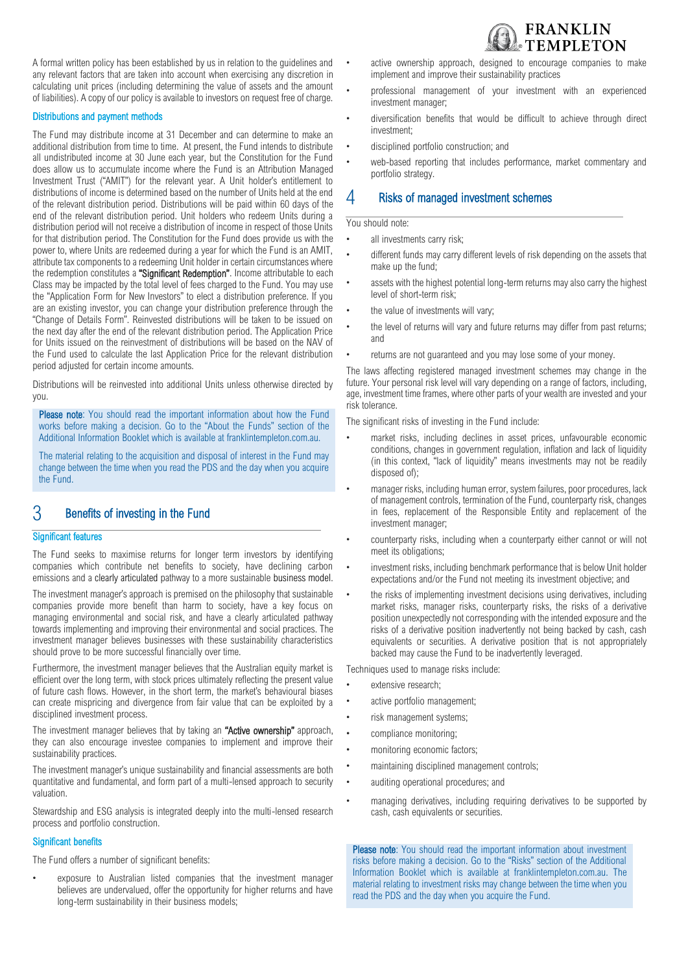A formal written policy has been established by us in relation to the guidelines and any relevant factors that are taken into account when exercising any discretion in calculating unit prices (including determining the value of assets and the amount of liabilities). A copy of our policy is available to investors on request free of charge.

#### Distributions and payment methods

The Fund may distribute income at 31 December and can determine to make an additional distribution from time to time. At present, the Fund intends to distribute all undistributed income at 30 June each year, but the Constitution for the Fund does allow us to accumulate income where the Fund is an Attribution Managed Investment Trust ("AMIT") for the relevant year. A Unit holder's entitlement to distributions of income is determined based on the number of Units held at the end of the relevant distribution period. Distributions will be paid within 60 days of the end of the relevant distribution period. Unit holders who redeem Units during a distribution period will not receive a distribution of income in respect of those Units for that distribution period. The Constitution for the Fund does provide us with the power to, where Units are redeemed during a year for which the Fund is an AMIT, attribute tax components to a redeeming Unit holder in certain circumstances where the redemption constitutes a "Significant Redemption". Income attributable to each Class may be impacted by the total level of fees charged to the Fund. You may use the "Application Form for New Investors" to elect a distribution preference. If you are an existing investor, you can change your distribution preference through the "Change of Details Form". Reinvested distributions will be taken to be issued on the next day after the end of the relevant distribution period. The Application Price for Units issued on the reinvestment of distributions will be based on the NAV of the Fund used to calculate the last Application Price for the relevant distribution period adjusted for certain income amounts.

Distributions will be reinvested into additional Units unless otherwise directed by you.

Please note: You should read the important information about how the Fund works before making a decision. Go to the "About the Funds" section of the Additional Information Booklet which is available at franklintempleton.com.au.

The material relating to the acquisition and disposal of interest in the Fund may change between the time when you read the PDS and the day when you acquire the Fund.

## 3 Benefits of investing in the Fund

#### Significant features

The Fund seeks to maximise returns for longer term investors by identifying companies which contribute net benefits to society, have declining carbon emissions and a clearly articulated pathway to a more sustainable business model.

The investment manager's approach is premised on the philosophy that sustainable companies provide more benefit than harm to society, have a key focus on managing environmental and social risk, and have a clearly articulated pathway towards implementing and improving their environmental and social practices. The investment manager believes businesses with these sustainability characteristics should prove to be more successful financially over time.

Furthermore, the investment manager believes that the Australian equity market is efficient over the long term, with stock prices ultimately reflecting the present value of future cash flows. However, in the short term, the market's behavioural biases can create mispricing and divergence from fair value that can be exploited by a disciplined investment process.

The investment manager believes that by taking an "Active ownership" approach, they can also encourage investee companies to implement and improve their sustainability practices.

The investment manager's unique sustainability and financial assessments are both quantitative and fundamental, and form part of a multi-lensed approach to security valuation.

Stewardship and ESG analysis is integrated deeply into the multi-lensed research process and portfolio construction.

#### Significant benefits

The Fund offers a number of significant benefits:

exposure to Australian listed companies that the investment manager believes are undervalued, offer the opportunity for higher returns and have long-term sustainability in their business models;

active ownership approach, designed to encourage companies to make implement and improve their sustainability practices

**FRANKLIN TEMPLETON** 

- professional management of your investment with an experienced investment manager;
- diversification benefits that would be difficult to achieve through direct investment;
- disciplined portfolio construction; and
- web-based reporting that includes performance, market commentary and portfolio strategy.

## 4 Risks of managed investment schemes

You should note:

- all investments carry risk;
- different funds may carry different levels of risk depending on the assets that make up the fund;
- assets with the highest potential long-term returns may also carry the highest level of short-term risk;
- the value of investments will vary;
- the level of returns will vary and future returns may differ from past returns; and
- returns are not guaranteed and you may lose some of your money.

The laws affecting registered managed investment schemes may change in the future. Your personal risk level will vary depending on a range of factors, including, age, investment time frames, where other parts of your wealth are invested and your risk tolerance.

The significant risks of investing in the Fund include:

- market risks, including declines in asset prices, unfavourable economic conditions, changes in government regulation, inflation and lack of liquidity (in this context, "lack of liquidity" means investments may not be readily disposed of);
- manager risks, including human error, system failures, poor procedures, lack of management controls, termination of the Fund, counterparty risk, changes in fees, replacement of the Responsible Entity and replacement of the investment manager;
- counterparty risks, including when a counterparty either cannot or will not meet its obligations;
- investment risks, including benchmark performance that is below Unit holder expectations and/or the Fund not meeting its investment objective; and
- the risks of implementing investment decisions using derivatives, including market risks, manager risks, counterparty risks, the risks of a derivative position unexpectedly not corresponding with the intended exposure and the risks of a derivative position inadvertently not being backed by cash, cash equivalents or securities. A derivative position that is not appropriately backed may cause the Fund to be inadvertently leveraged.

Techniques used to manage risks include:

- extensive research;
- active portfolio management;
- risk management systems:
- compliance monitoring;
- monitoring economic factors;
- maintaining disciplined management controls;
- auditing operational procedures; and
- managing derivatives, including requiring derivatives to be supported by cash, cash equivalents or securities.

Please note: You should read the important information about investment risks before making a decision. Go to the "Risks" section of the Additional Information Booklet which is available at franklintempleton.com.au. The material relating to investment risks may change between the time when you read the PDS and the day when you acquire the Fund.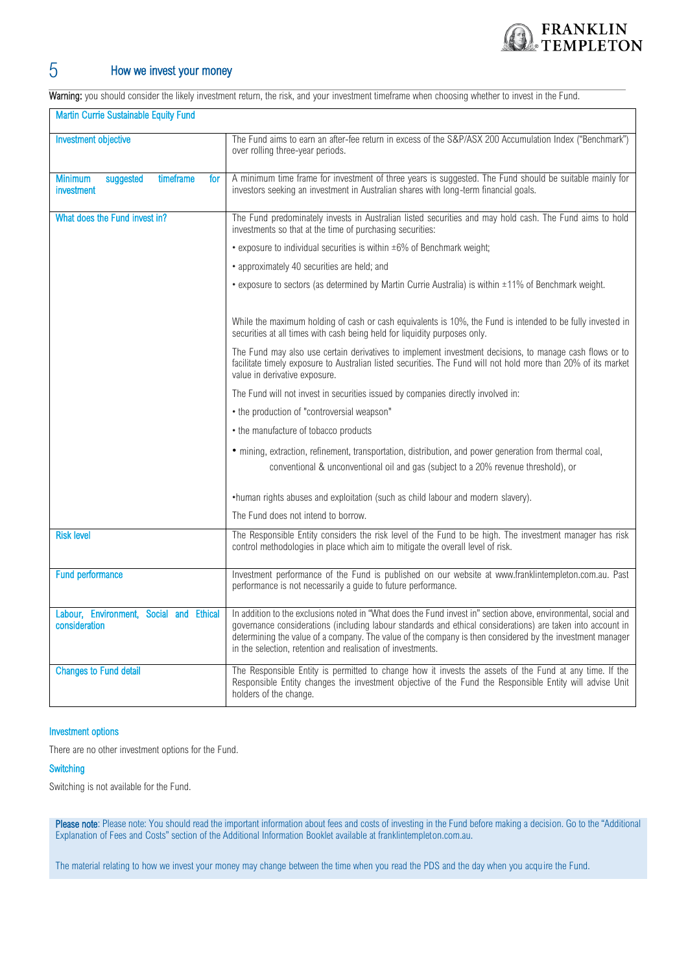

## 5 How we invest your money

Warning: you should consider the likely investment return, the risk, and your investment timeframe when choosing whether to invest in the Fund.

| Martin Currie Sustainable Equity Fund                         |                                                                                                                                                                                                                                                                                                                                                                                                           |
|---------------------------------------------------------------|-----------------------------------------------------------------------------------------------------------------------------------------------------------------------------------------------------------------------------------------------------------------------------------------------------------------------------------------------------------------------------------------------------------|
| <b>Investment objective</b>                                   | The Fund aims to earn an after-fee return in excess of the S&P/ASX 200 Accumulation Index ("Benchmark")<br>over rolling three-year periods.                                                                                                                                                                                                                                                               |
| <b>Minimum</b><br>timeframe<br>suggested<br>for<br>investment | A minimum time frame for investment of three years is suggested. The Fund should be suitable mainly for<br>investors seeking an investment in Australian shares with long-term financial goals.                                                                                                                                                                                                           |
| What does the Fund invest in?                                 | The Fund predominately invests in Australian listed securities and may hold cash. The Fund aims to hold<br>investments so that at the time of purchasing securities:                                                                                                                                                                                                                                      |
|                                                               | • exposure to individual securities is within ±6% of Benchmark weight;                                                                                                                                                                                                                                                                                                                                    |
|                                                               | • approximately 40 securities are held; and                                                                                                                                                                                                                                                                                                                                                               |
|                                                               | • exposure to sectors (as determined by Martin Currie Australia) is within ±11% of Benchmark weight.                                                                                                                                                                                                                                                                                                      |
|                                                               | While the maximum holding of cash or cash equivalents is 10%, the Fund is intended to be fully invested in<br>securities at all times with cash being held for liquidity purposes only.                                                                                                                                                                                                                   |
|                                                               | The Fund may also use certain derivatives to implement investment decisions, to manage cash flows or to<br>facilitate timely exposure to Australian listed securities. The Fund will not hold more than 20% of its market<br>value in derivative exposure.                                                                                                                                                |
|                                                               | The Fund will not invest in securities issued by companies directly involved in:                                                                                                                                                                                                                                                                                                                          |
|                                                               | • the production of "controversial weapson"                                                                                                                                                                                                                                                                                                                                                               |
|                                                               | • the manufacture of tobacco products                                                                                                                                                                                                                                                                                                                                                                     |
|                                                               | · mining, extraction, refinement, transportation, distribution, and power generation from thermal coal,<br>conventional & unconventional oil and gas (subject to a 20% revenue threshold), or                                                                                                                                                                                                             |
|                                                               | •human rights abuses and exploitation (such as child labour and modern slavery).                                                                                                                                                                                                                                                                                                                          |
|                                                               | The Fund does not intend to borrow.                                                                                                                                                                                                                                                                                                                                                                       |
| <b>Risk level</b>                                             | The Responsible Entity considers the risk level of the Fund to be high. The investment manager has risk<br>control methodologies in place which aim to mitigate the overall level of risk.                                                                                                                                                                                                                |
| <b>Fund performance</b>                                       | Investment performance of the Fund is published on our website at www.franklintempleton.com.au. Past<br>performance is not necessarily a guide to future performance.                                                                                                                                                                                                                                     |
| Labour, Environment, Social and Ethical<br>consideration      | In addition to the exclusions noted in "What does the Fund invest in" section above, environmental, social and<br>governance considerations (including labour standards and ethical considerations) are taken into account in<br>determining the value of a company. The value of the company is then considered by the investment manager<br>in the selection, retention and realisation of investments. |
| <b>Changes to Fund detail</b>                                 | The Responsible Entity is permitted to change how it invests the assets of the Fund at any time. If the<br>Responsible Entity changes the investment objective of the Fund the Responsible Entity will advise Unit<br>holders of the change.                                                                                                                                                              |

#### Investment options

There are no other investment options for the Fund.

#### **Switching**

Switching is not available for the Fund.

Please note: Please note: You should read the important information about fees and costs of investing in the Fund before making a decision. Go to the "Additional Explanation of Fees and Costs" section of the Additional Information Booklet available at franklintempleton.com.au.

The material relating to how we invest your money may change between the time when you read the PDS and the day when you acquire the Fund.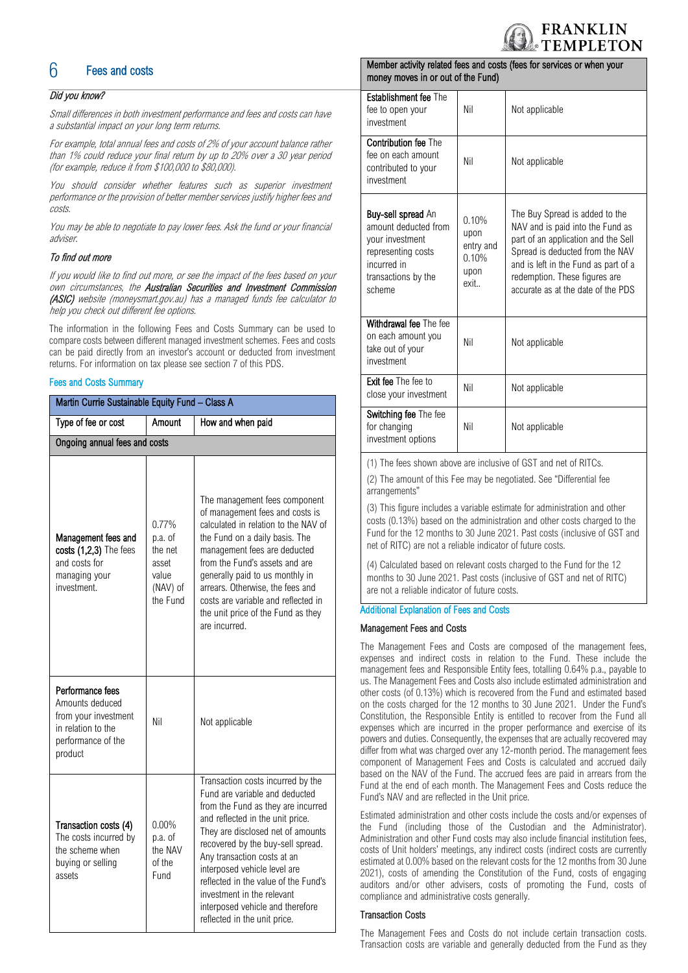## **FRANKLIN PLETON**

## 6 Fees and costs

#### Did you know?

Small differences in both investment performance and fees and costs can have a substantial impact on your long term returns.

For example, total annual fees and costs of 2% of your account balance rather than 1% could reduce your final return by up to 20% over a 30 year period (for example, reduce it from \$100,000 to \$80,000).

You should consider whether features such as superior investment performance or the provision of better member services justify higher fees and costs.

You may be able to negotiate to pay lower fees. Ask the fund or your financial adviser.

#### To find out more

If you would like to find out more, or see the impact of the fees based on your own circumstances, the Australian Securities and Investment Commission (ASIC) website (moneysmart.gov.au) has a managed funds fee calculator to help you check out different fee options.

The information in the following Fees and Costs Summary can be used to compare costs between different managed investment schemes. Fees and costs can be paid directly from an investor's account or deducted from investment returns. For information on tax please see section 7 of this PDS.

#### Fees and Costs Summary

| Martin Currie Sustainable Equity Fund - Class A                                                                    |                                                                       |                                                                                                                                                                                                                                                                                                                                                                                                                                  |  |
|--------------------------------------------------------------------------------------------------------------------|-----------------------------------------------------------------------|----------------------------------------------------------------------------------------------------------------------------------------------------------------------------------------------------------------------------------------------------------------------------------------------------------------------------------------------------------------------------------------------------------------------------------|--|
| Type of fee or cost                                                                                                | Amount                                                                | How and when paid                                                                                                                                                                                                                                                                                                                                                                                                                |  |
| Ongoing annual fees and costs                                                                                      |                                                                       |                                                                                                                                                                                                                                                                                                                                                                                                                                  |  |
| Management fees and<br>costs (1,2,3) The fees<br>and costs for<br>managing your<br>investment.                     | 0.77%<br>p.a. of<br>the net<br>asset<br>value<br>(NAV) of<br>the Fund | The management fees component<br>of management fees and costs is<br>calculated in relation to the NAV of<br>the Fund on a daily basis. The<br>management fees are deducted<br>from the Fund's assets and are<br>generally paid to us monthly in<br>arrears. Otherwise, the fees and<br>costs are variable and reflected in<br>the unit price of the Fund as they<br>are incurred.                                                |  |
| Performance fees<br>Amounts deduced<br>from your investment<br>in relation to the<br>performance of the<br>product | Nil                                                                   | Not applicable                                                                                                                                                                                                                                                                                                                                                                                                                   |  |
| Transaction costs (4)<br>The costs incurred by<br>the scheme when<br>buying or selling<br>assets                   | $0.00\%$<br>p.a. of<br>the NAV<br>of the<br>Fund                      | Transaction costs incurred by the<br>Fund are variable and deducted<br>from the Fund as they are incurred<br>and reflected in the unit price.<br>They are disclosed net of amounts<br>recovered by the buy-sell spread.<br>Any transaction costs at an<br>interposed vehicle level are<br>reflected in the value of the Fund's<br>investment in the relevant<br>interposed vehicle and therefore<br>reflected in the unit price. |  |

#### Member activity related fees and costs (fees for services or when your money moves in or out of the Fund)

| <b>Establishment fee The</b><br>fee to open your<br>investment                                                                             | Nil                                                 | Not applicable                                                                                                                                                                                                                                              |
|--------------------------------------------------------------------------------------------------------------------------------------------|-----------------------------------------------------|-------------------------------------------------------------------------------------------------------------------------------------------------------------------------------------------------------------------------------------------------------------|
| Contribution fee The<br>fee on each amount<br>contributed to your<br>investment                                                            | Nil                                                 | Not applicable                                                                                                                                                                                                                                              |
| <b>Buy-sell spread An</b><br>amount deducted from<br>your investment<br>representing costs<br>incurred in<br>transactions by the<br>scheme | 0.10%<br>upon<br>entry and<br>0.10%<br>upon<br>exit | The Buy Spread is added to the<br>NAV and is paid into the Fund as<br>part of an application and the Sell<br>Spread is deducted from the NAV<br>and is left in the Fund as part of a<br>redemption. These figures are<br>accurate as at the date of the PDS |
| Withdrawal fee The fee<br>on each amount you<br>take out of your<br>investment                                                             | Nil                                                 | Not applicable                                                                                                                                                                                                                                              |
| Exit fee The fee to<br>close your investment                                                                                               | Nil                                                 | Not applicable                                                                                                                                                                                                                                              |
| Switching fee The fee<br>for changing<br>investment options                                                                                | Nil                                                 | Not applicable                                                                                                                                                                                                                                              |

(1) The fees shown above are inclusive of GST and net of RITCs.

(2) The amount of this Fee may be negotiated. See "Differential fee arrangements"

(3) This figure includes a variable estimate for administration and other costs (0.13%) based on the administration and other costs charged to the Fund for the 12 months to 30 June 2021. Past costs (inclusive of GST and net of RITC) are not a reliable indicator of future costs.

(4) Calculated based on relevant costs charged to the Fund for the 12 months to 30 June 2021. Past costs (inclusive of GST and net of RITC) are not a reliable indicator of future costs.

#### Additional Explanation of Fees and Costs

#### Management Fees and Costs

The Management Fees and Costs are composed of the management fees, expenses and indirect costs in relation to the Fund. These include the management fees and Responsible Entity fees, totalling 0.64% p.a., payable to us. The Management Fees and Costs also include estimated administration and other costs (of 0.13%) which is recovered from the Fund and estimated based on the costs charged for the 12 months to 30 June 2021. Under the Fund's Constitution, the Responsible Entity is entitled to recover from the Fund all expenses which are incurred in the proper performance and exercise of its powers and duties. Consequently, the expenses that are actually recovered may differ from what was charged over any 12-month period. The management fees component of Management Fees and Costs is calculated and accrued daily based on the NAV of the Fund. The accrued fees are paid in arrears from the Fund at the end of each month. The Management Fees and Costs reduce the Fund's NAV and are reflected in the Unit price.

Estimated administration and other costs include the costs and/or expenses of the Fund (including those of the Custodian and the Administrator). Administration and other Fund costs may also include financial institution fees, costs of Unit holders' meetings, any indirect costs (indirect costs are currently estimated at 0.00% based on the relevant costs for the 12 months from 30 June 2021), costs of amending the Constitution of the Fund, costs of engaging auditors and/or other advisers, costs of promoting the Fund, costs of compliance and administrative costs generally.

#### Transaction Costs

The Management Fees and Costs do not include certain transaction costs. Transaction costs are variable and generally deducted from the Fund as they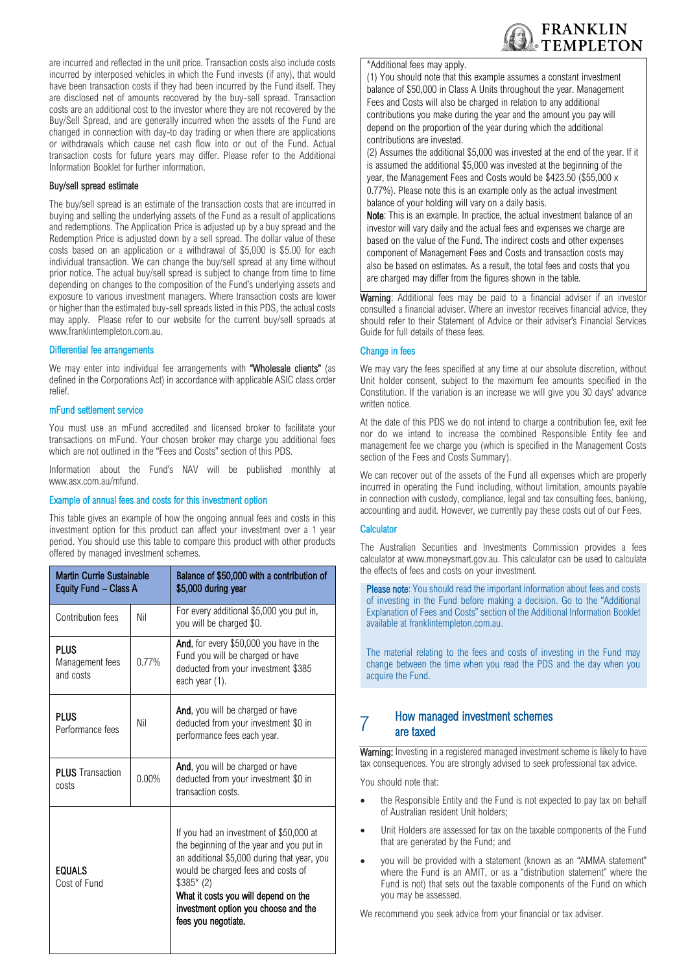

are incurred and reflected in the unit price. Transaction costs also include costs incurred by interposed vehicles in which the Fund invests (if any), that would have been transaction costs if they had been incurred by the Fund itself. They are disclosed net of amounts recovered by the buy-sell spread. Transaction costs are an additional cost to the investor where they are not recovered by the Buy/Sell Spread, and are generally incurred when the assets of the Fund are changed in connection with day-to day trading or when there are applications or withdrawals which cause net cash flow into or out of the Fund. Actual transaction costs for future years may differ. Please refer to the Additional Information Booklet for further information.

#### Buy/sell spread estimate

The buy/sell spread is an estimate of the transaction costs that are incurred in buying and selling the underlying assets of the Fund as a result of applications and redemptions. The Application Price is adjusted up by a buy spread and the Redemption Price is adjusted down by a sell spread. The dollar value of these costs based on an application or a withdrawal of \$5,000 is \$5.00 for each individual transaction. We can change the buy/sell spread at any time without prior notice. The actual buy/sell spread is subject to change from time to time depending on changes to the composition of the Fund's underlying assets and exposure to various investment managers. Where transaction costs are lower or higher than the estimated buy-sell spreads listed in this PDS, the actual costs may apply. Please refer to our website for the current buy/sell spreads at www.franklintempleton.com.au.

#### Differential fee arrangements

We may enter into individual fee arrangements with "Wholesale clients" (as defined in the Corporations Act) in accordance with applicable ASIC class order relief.

#### mFund settlement service

You must use an mFund accredited and licensed broker to facilitate your transactions on mFund. Your chosen broker may charge you additional fees which are not outlined in the "Fees and Costs" section of this PDS.

Information about the Fund's NAV will be published monthly at www.asx.com.au/mfund.

#### Example of annual fees and costs for this investment option

This table gives an example of how the ongoing annual fees and costs in this investment option for this product can affect your investment over a 1 year period. You should use this table to compare this product with other products offered by managed investment schemes.

| Martin Currie Sustainable<br>Equity Fund - Class A |          | Balance of \$50,000 with a contribution of<br>\$5,000 during year                                                                                                                                                                                                                             |
|----------------------------------------------------|----------|-----------------------------------------------------------------------------------------------------------------------------------------------------------------------------------------------------------------------------------------------------------------------------------------------|
| Contribution fees                                  | Nil      | For every additional \$5,000 you put in,<br>you will be charged \$0.                                                                                                                                                                                                                          |
| PLUS<br>Management fees<br>and costs               | 0.77%    | And, for every \$50,000 you have in the<br>Fund you will be charged or have<br>deducted from your investment \$385<br>each year (1).                                                                                                                                                          |
| PLUS<br>Performance fees                           | Nil      | And, you will be charged or have<br>deducted from your investment \$0 in<br>performance fees each year.                                                                                                                                                                                       |
| <b>PLUS</b> Transaction<br>costs                   | $0.00\%$ | And, you will be charged or have<br>deducted from your investment \$0 in<br>transaction costs.                                                                                                                                                                                                |
| <b>EQUALS</b><br>Cost of Fund                      |          | If you had an investment of \$50,000 at<br>the beginning of the year and you put in<br>an additional \$5,000 during that year, you<br>would be charged fees and costs of<br>$$385*(2)$<br>What it costs you will depend on the<br>investment option you choose and the<br>fees you negotiate. |

#### \*Additional fees may apply.

(1) You should note that this example assumes a constant investment balance of \$50,000 in Class A Units throughout the year. Management Fees and Costs will also be charged in relation to any additional contributions you make during the year and the amount you pay will depend on the proportion of the year during which the additional contributions are invested.

(2) Assumes the additional \$5,000 was invested at the end of the year. If it is assumed the additional \$5,000 was invested at the beginning of the year, the Management Fees and Costs would be \$423.50 (\$55,000 x 0.77%). Please note this is an example only as the actual investment balance of your holding will vary on a daily basis.

Note: This is an example. In practice, the actual investment balance of an investor will vary daily and the actual fees and expenses we charge are based on the value of the Fund. The indirect costs and other expenses component of Management Fees and Costs and transaction costs may also be based on estimates. As a result, the total fees and costs that you are charged may differ from the figures shown in the table.

Warning: Additional fees may be paid to a financial adviser if an investor consulted a financial adviser. Where an investor receives financial advice, they should refer to their Statement of Advice or their adviser's Financial Services Guide for full details of these fees.

#### Change in fees

We may vary the fees specified at any time at our absolute discretion, without Unit holder consent, subject to the maximum fee amounts specified in the Constitution. If the variation is an increase we will give you 30 days' advance written notice.

At the date of this PDS we do not intend to charge a contribution fee, exit fee nor do we intend to increase the combined Responsible Entity fee and management fee we charge you (which is specified in the Management Costs section of the Fees and Costs Summary).

We can recover out of the assets of the Fund all expenses which are properly incurred in operating the Fund including, without limitation, amounts payable in connection with custody, compliance, legal and tax consulting fees, banking, accounting and audit. However, we currently pay these costs out of our Fees.

#### Calculator

The Australian Securities and Investments Commission provides a fees calculator at www.moneysmart.gov.au. This calculator can be used to calculate the effects of fees and costs on your investment.

Please note: You should read the important information about fees and costs of investing in the Fund before making a decision. Go to the "Additional Explanation of Fees and Costs" section of the Additional Information Booklet available at [franklintempleton.com.au.](http://www.leggmason.com.au/en/index.aspx) 

The material relating to the fees and costs of investing in the Fund may change between the time when you read the PDS and the day when you acquire the Fund.

#### 7 How managed investment schemes are taxed

Warning: Investing in a registered managed investment scheme is likely to have tax consequences. You are strongly advised to seek professional tax advice.

You should note that:

- the Responsible Entity and the Fund is not expected to pay tax on behalf of Australian resident Unit holders;
- Unit Holders are assessed for tax on the taxable components of the Fund that are generated by the Fund; and
- you will be provided with a statement (known as an "AMMA statement" where the Fund is an AMIT, or as a "distribution statement" where the Fund is not) that sets out the taxable components of the Fund on which you may be assessed.

We recommend you seek advice from your financial or tax adviser.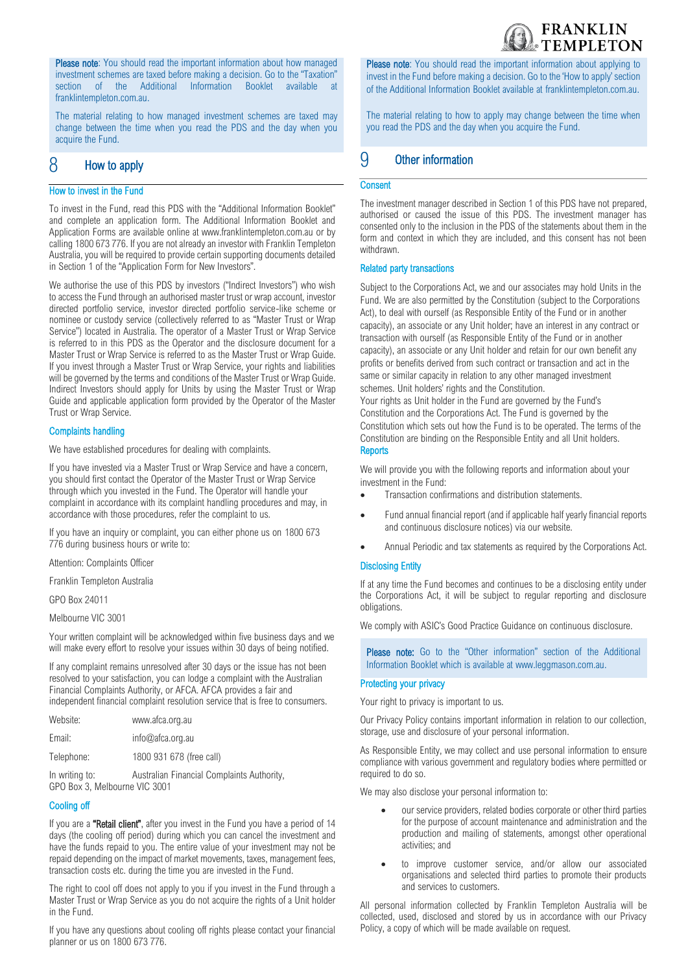

Please note: You should read the important information about how managed investment schemes are taxed before making a decision. Go to the "Taxation" section of the Additional Information Booklet available at [franklintempleton.com.au.](http://www.leggmason.com.au/en/index.aspx)

The material relating to how managed investment schemes are taxed may change between the time when you read the PDS and the day when you acquire the Fund.

## 8 How to apply

#### How to invest in the Fund

To invest in the Fund, read this PDS with the "Additional Information Booklet" and complete an application form. The Additional Information Booklet and Application Forms are available online at www.franklintempleton.com.au or by calling 1800 673 776. If you are not already an investor with Franklin Templeton Australia, you will be required to provide certain supporting documents detailed in Section 1 of the "Application Form for New Investors".

We authorise the use of this PDS by investors ("Indirect Investors") who wish to access the Fund through an authorised master trust or wrap account, investor directed portfolio service, investor directed portfolio service-like scheme or nominee or custody service (collectively referred to as "Master Trust or Wrap Service") located in Australia. The operator of a Master Trust or Wrap Service is referred to in this PDS as the Operator and the disclosure document for a Master Trust or Wrap Service is referred to as the Master Trust or Wrap Guide. If you invest through a Master Trust or Wrap Service, your rights and liabilities will be governed by the terms and conditions of the Master Trust or Wrap Guide. Indirect Investors should apply for Units by using the Master Trust or Wrap Guide and applicable application form provided by the Operator of the Master Trust or Wrap Service.

#### Complaints handling

We have established procedures for dealing with complaints.

If you have invested via a Master Trust or Wrap Service and have a concern, you should first contact the Operator of the Master Trust or Wrap Service through which you invested in the Fund. The Operator will handle your complaint in accordance with its complaint handling procedures and may, in accordance with those procedures, refer the complaint to us.

If you have an inquiry or complaint, you can either phone us on 1800 673 776 during business hours or write to:

Attention: Complaints Officer

Franklin Templeton Australia

GPO Box 24011

Melbourne VIC 3001

Your written complaint will be acknowledged within five business days and we will make every effort to resolve your issues within 30 days of being notified.

If any complaint remains unresolved after 30 days or the issue has not been resolved to your satisfaction, you can lodge a complaint with the Australian Financial Complaints Authority, or AFCA. AFCA provides a fair and independent financial complaint resolution service that is free to consumers.

| Website:   | www.afca.org.au          |
|------------|--------------------------|
| Email:     | info@afca.org.au         |
| Telephone: | 1800 931 678 (free call) |
|            |                          |

In writing to: Australian Financial Complaints Authority, GPO Box 3, Melbourne VIC 3001

#### Cooling off

If you are a "Retail client", after you invest in the Fund you have a period of 14 days (the cooling off period) during which you can cancel the investment and have the funds repaid to you. The entire value of your investment may not be repaid depending on the impact of market movements, taxes, management fees, transaction costs etc. during the time you are invested in the Fund.

The right to cool off does not apply to you if you invest in the Fund through a Master Trust or Wrap Service as you do not acquire the rights of a Unit holder in the Fund.

If you have any questions about cooling off rights please contact your financial planner or us on 1800 673 776.

Please note: You should read the important information about applying to invest in the Fund before making a decision. Go to the 'How to apply' section of the Additional Information Booklet available at [franklintempleton.com.au.](http://www.leggmason.com.au/en/index.aspx) 

The material relating to how to apply may change between the time when you read the PDS and the day when you acquire the Fund.

## 9 Other information

#### **Consent**

The investment manager described in Section 1 of this PDS have not prepared, authorised or caused the issue of this PDS. The investment manager has consented only to the inclusion in the PDS of the statements about them in the form and context in which they are included, and this consent has not been withdrawn.

#### Related party transactions

Subject to the Corporations Act, we and our associates may hold Units in the Fund. We are also permitted by the Constitution (subject to the Corporations Act), to deal with ourself (as Responsible Entity of the Fund or in another capacity), an associate or any Unit holder; have an interest in any contract or transaction with ourself (as Responsible Entity of the Fund or in another capacity), an associate or any Unit holder and retain for our own benefit any profits or benefits derived from such contract or transaction and act in the same or similar capacity in relation to any other managed investment schemes. Unit holders' rights and the Constitution.

Your rights as Unit holder in the Fund are governed by the Fund's Constitution and the Corporations Act. The Fund is governed by the Constitution which sets out how the Fund is to be operated. The terms of the Constitution are binding on the Responsible Entity and all Unit holders. **Reports** 

We will provide you with the following reports and information about your investment in the Fund:

- Transaction confirmations and distribution statements.
- Fund annual financial report (and if applicable half yearly financial reports and continuous disclosure notices) via our website.
- Annual Periodic and tax statements as required by the Corporations Act.

#### Disclosing Entity

If at any time the Fund becomes and continues to be a disclosing entity under the Corporations Act, it will be subject to regular reporting and disclosure obligations.

We comply with ASIC's Good Practice Guidance on continuous disclosure.

Please note: Go to the "Other information" section of the Additional Information Booklet which is available at [www.leggmason.com.au.](http://www.leggmason.com.au/)

#### Protecting your privacy

Your right to privacy is important to us.

Our Privacy Policy contains important information in relation to our collection, storage, use and disclosure of your personal information.

As Responsible Entity, we may collect and use personal information to ensure compliance with various government and regulatory bodies where permitted or required to do so.

We may also disclose your personal information to:

- our service providers, related bodies corporate or other third parties for the purpose of account maintenance and administration and the production and mailing of statements, amongst other operational activities; and
- to improve customer service, and/or allow our associated organisations and selected third parties to promote their products and services to customers.

All personal information collected by Franklin Templeton Australia will be collected, used, disclosed and stored by us in accordance with our Privacy Policy, a copy of which will be made available on request.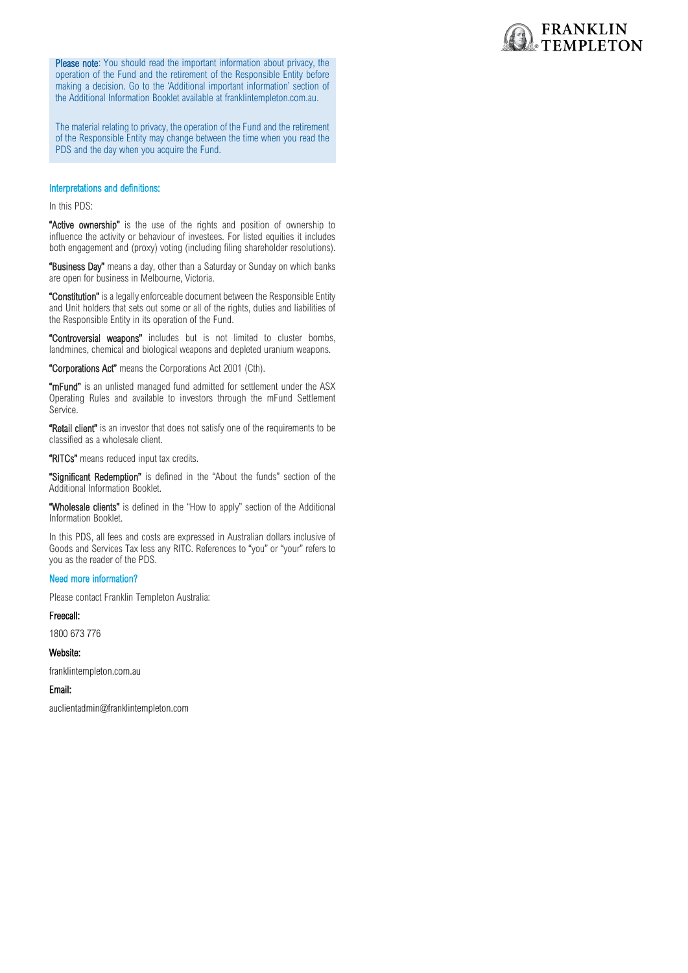

Please note: You should read the important information about privacy, the operation of the Fund and the retirement of the Responsible Entity before making a decision. Go to the 'Additional important information' section of the Additional Information Booklet available a[t franklintempleton.com.au.](http://www.leggmason.com.au/en/index.aspx)

The material relating to privacy, the operation of the Fund and the retirement of the Responsible Entity may change between the time when you read the PDS and the day when you acquire the Fund.

#### Interpretations and definitions:

#### In this PDS:

"Active ownership" is the use of the rights and position of ownership to influence the activity or behaviour of investees. For listed equities it includes both engagement and (proxy) voting (including filing shareholder resolutions).

"Business Day" means a day, other than a Saturday or Sunday on which banks are open for business in Melbourne, Victoria.

"Constitution" is a legally enforceable document between the Responsible Entity and Unit holders that sets out some or all of the rights, duties and liabilities of the Responsible Entity in its operation of the Fund.

"Controversial weapons" includes but is not limited to cluster bombs, landmines, chemical and biological weapons and depleted uranium weapons.

"Corporations Act" means the Corporations Act 2001 (Cth).

"mFund" is an unlisted managed fund admitted for settlement under the ASX Operating Rules and available to investors through the mFund Settlement Service.

"Retail client" is an investor that does not satisfy one of the requirements to be classified as a wholesale client.

"RITCs" means reduced input tax credits.

"Significant Redemption" is defined in the "About the funds" section of the Additional Information Booklet.

"Wholesale clients" is defined in the "How to apply" section of the Additional Information Booklet.

In this PDS, all fees and costs are expressed in Australian dollars inclusive of Goods and Services Tax less any RITC. References to "you" or "your" refers to you as the reader of the PDS.

#### Need more information?

Please contact Franklin Templeton Australia:

#### Freecall:

1800 673 776

#### Website:

franklintempleton.com.au

#### Email:

auclientadmin@franklintempleton.com